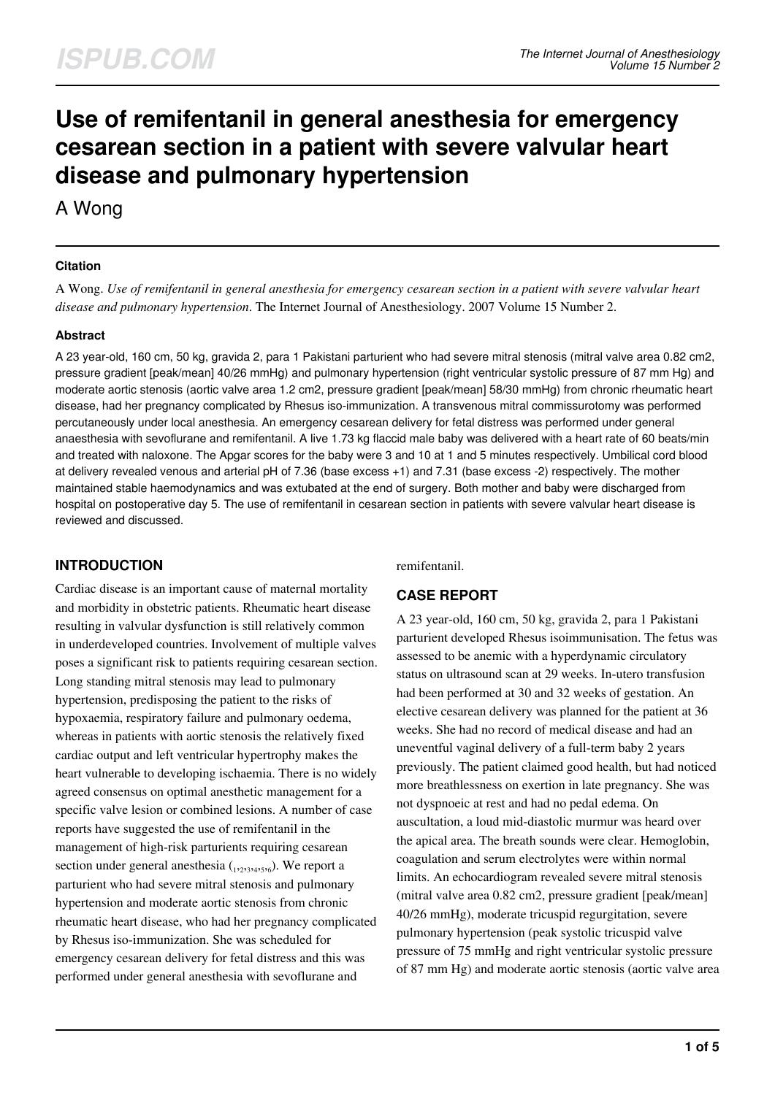# **Use of remifentanil in general anesthesia for emergency cesarean section in a patient with severe valvular heart disease and pulmonary hypertension**

A Wong

### **Citation**

A Wong. *Use of remifentanil in general anesthesia for emergency cesarean section in a patient with severe valvular heart disease and pulmonary hypertension*. The Internet Journal of Anesthesiology. 2007 Volume 15 Number 2.

### **Abstract**

A 23 year-old, 160 cm, 50 kg, gravida 2, para 1 Pakistani parturient who had severe mitral stenosis (mitral valve area 0.82 cm2, pressure gradient [peak/mean] 40/26 mmHg) and pulmonary hypertension (right ventricular systolic pressure of 87 mm Hg) and moderate aortic stenosis (aortic valve area 1.2 cm2, pressure gradient [peak/mean] 58/30 mmHg) from chronic rheumatic heart disease, had her pregnancy complicated by Rhesus iso-immunization. A transvenous mitral commissurotomy was performed percutaneously under local anesthesia. An emergency cesarean delivery for fetal distress was performed under general anaesthesia with sevoflurane and remifentanil. A live 1.73 kg flaccid male baby was delivered with a heart rate of 60 beats/min and treated with naloxone. The Apgar scores for the baby were 3 and 10 at 1 and 5 minutes respectively. Umbilical cord blood at delivery revealed venous and arterial pH of 7.36 (base excess +1) and 7.31 (base excess -2) respectively. The mother maintained stable haemodynamics and was extubated at the end of surgery. Both mother and baby were discharged from hospital on postoperative day 5. The use of remifentanil in cesarean section in patients with severe valvular heart disease is reviewed and discussed.

# **INTRODUCTION**

Cardiac disease is an important cause of maternal mortality and morbidity in obstetric patients. Rheumatic heart disease resulting in valvular dysfunction is still relatively common in underdeveloped countries. Involvement of multiple valves poses a significant risk to patients requiring cesarean section. Long standing mitral stenosis may lead to pulmonary hypertension, predisposing the patient to the risks of hypoxaemia, respiratory failure and pulmonary oedema, whereas in patients with aortic stenosis the relatively fixed cardiac output and left ventricular hypertrophy makes the heart vulnerable to developing ischaemia. There is no widely agreed consensus on optimal anesthetic management for a specific valve lesion or combined lesions. A number of case reports have suggested the use of remifentanil in the management of high-risk parturients requiring cesarean section under general anesthesia  $_{1,233,425,6}$ ). We report a parturient who had severe mitral stenosis and pulmonary hypertension and moderate aortic stenosis from chronic rheumatic heart disease, who had her pregnancy complicated by Rhesus iso-immunization. She was scheduled for emergency cesarean delivery for fetal distress and this was performed under general anesthesia with sevoflurane and

remifentanil.

## **CASE REPORT**

A 23 year-old, 160 cm, 50 kg, gravida 2, para 1 Pakistani parturient developed Rhesus isoimmunisation. The fetus was assessed to be anemic with a hyperdynamic circulatory status on ultrasound scan at 29 weeks. In-utero transfusion had been performed at 30 and 32 weeks of gestation. An elective cesarean delivery was planned for the patient at 36 weeks. She had no record of medical disease and had an uneventful vaginal delivery of a full-term baby 2 years previously. The patient claimed good health, but had noticed more breathlessness on exertion in late pregnancy. She was not dyspnoeic at rest and had no pedal edema. On auscultation, a loud mid-diastolic murmur was heard over the apical area. The breath sounds were clear. Hemoglobin, coagulation and serum electrolytes were within normal limits. An echocardiogram revealed severe mitral stenosis (mitral valve area 0.82 cm2, pressure gradient [peak/mean] 40/26 mmHg), moderate tricuspid regurgitation, severe pulmonary hypertension (peak systolic tricuspid valve pressure of 75 mmHg and right ventricular systolic pressure of 87 mm Hg) and moderate aortic stenosis (aortic valve area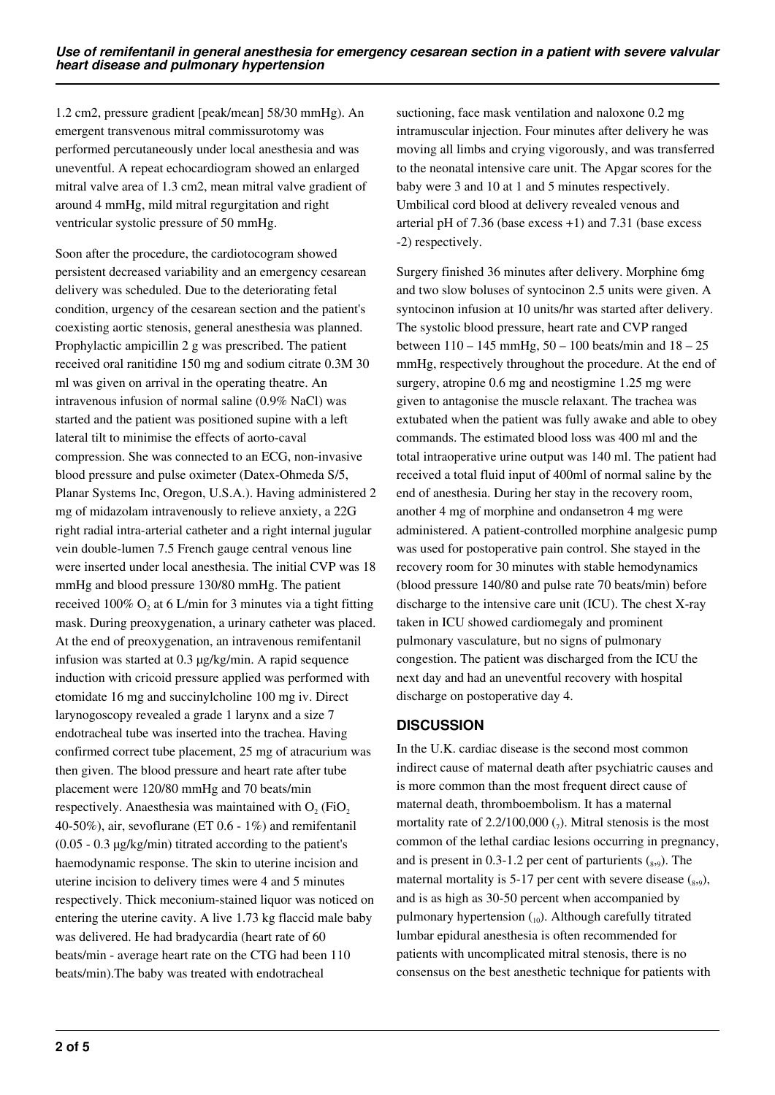1.2 cm2, pressure gradient [peak/mean] 58/30 mmHg). An emergent transvenous mitral commissurotomy was performed percutaneously under local anesthesia and was uneventful. A repeat echocardiogram showed an enlarged mitral valve area of 1.3 cm2, mean mitral valve gradient of around 4 mmHg, mild mitral regurgitation and right ventricular systolic pressure of 50 mmHg.

Soon after the procedure, the cardiotocogram showed persistent decreased variability and an emergency cesarean delivery was scheduled. Due to the deteriorating fetal condition, urgency of the cesarean section and the patient's coexisting aortic stenosis, general anesthesia was planned. Prophylactic ampicillin 2 g was prescribed. The patient received oral ranitidine 150 mg and sodium citrate 0.3M 30 ml was given on arrival in the operating theatre. An intravenous infusion of normal saline (0.9% NaCl) was started and the patient was positioned supine with a left lateral tilt to minimise the effects of aorto-caval compression. She was connected to an ECG, non-invasive blood pressure and pulse oximeter (Datex-Ohmeda S/5, Planar Systems Inc, Oregon, U.S.A.). Having administered 2 mg of midazolam intravenously to relieve anxiety, a 22G right radial intra-arterial catheter and a right internal jugular vein double-lumen 7.5 French gauge central venous line were inserted under local anesthesia. The initial CVP was 18 mmHg and blood pressure 130/80 mmHg. The patient received 100%  $O_2$  at 6 L/min for 3 minutes via a tight fitting mask. During preoxygenation, a urinary catheter was placed. At the end of preoxygenation, an intravenous remifentanil infusion was started at 0.3 µg/kg/min. A rapid sequence induction with cricoid pressure applied was performed with etomidate 16 mg and succinylcholine 100 mg iv. Direct larynogoscopy revealed a grade 1 larynx and a size 7 endotracheal tube was inserted into the trachea. Having confirmed correct tube placement, 25 mg of atracurium was then given. The blood pressure and heart rate after tube placement were 120/80 mmHg and 70 beats/min respectively. Anaesthesia was maintained with  $O_2$  (FiO<sub>2</sub> 40-50%), air, sevoflurane (ET 0.6 - 1%) and remifentanil (0.05 - 0.3 µg/kg/min) titrated according to the patient's haemodynamic response. The skin to uterine incision and uterine incision to delivery times were 4 and 5 minutes respectively. Thick meconium-stained liquor was noticed on entering the uterine cavity. A live 1.73 kg flaccid male baby was delivered. He had bradycardia (heart rate of 60 beats/min - average heart rate on the CTG had been 110 beats/min).The baby was treated with endotracheal

suctioning, face mask ventilation and naloxone 0.2 mg intramuscular injection. Four minutes after delivery he was moving all limbs and crying vigorously, and was transferred to the neonatal intensive care unit. The Apgar scores for the baby were 3 and 10 at 1 and 5 minutes respectively. Umbilical cord blood at delivery revealed venous and arterial pH of 7.36 (base excess +1) and 7.31 (base excess -2) respectively.

Surgery finished 36 minutes after delivery. Morphine 6mg and two slow boluses of syntocinon 2.5 units were given. A syntocinon infusion at 10 units/hr was started after delivery. The systolic blood pressure, heart rate and CVP ranged between  $110 - 145$  mmHg,  $50 - 100$  beats/min and  $18 - 25$ mmHg, respectively throughout the procedure. At the end of surgery, atropine 0.6 mg and neostigmine 1.25 mg were given to antagonise the muscle relaxant. The trachea was extubated when the patient was fully awake and able to obey commands. The estimated blood loss was 400 ml and the total intraoperative urine output was 140 ml. The patient had received a total fluid input of 400ml of normal saline by the end of anesthesia. During her stay in the recovery room, another 4 mg of morphine and ondansetron 4 mg were administered. A patient-controlled morphine analgesic pump was used for postoperative pain control. She stayed in the recovery room for 30 minutes with stable hemodynamics (blood pressure 140/80 and pulse rate 70 beats/min) before discharge to the intensive care unit (ICU). The chest X-ray taken in ICU showed cardiomegaly and prominent pulmonary vasculature, but no signs of pulmonary congestion. The patient was discharged from the ICU the next day and had an uneventful recovery with hospital discharge on postoperative day 4.

# **DISCUSSION**

In the U.K. cardiac disease is the second most common indirect cause of maternal death after psychiatric causes and is more common than the most frequent direct cause of maternal death, thromboembolism. It has a maternal mortality rate of 2.2/100,000  $\binom{1}{7}$ . Mitral stenosis is the most common of the lethal cardiac lesions occurring in pregnancy, and is present in 0.3-1.2 per cent of parturients  $_{(8,9)}$ . The maternal mortality is 5-17 per cent with severe disease  $(s_{,9})$ , and is as high as 30-50 percent when accompanied by pulmonary hypertension  $_{10}$ ). Although carefully titrated lumbar epidural anesthesia is often recommended for patients with uncomplicated mitral stenosis, there is no consensus on the best anesthetic technique for patients with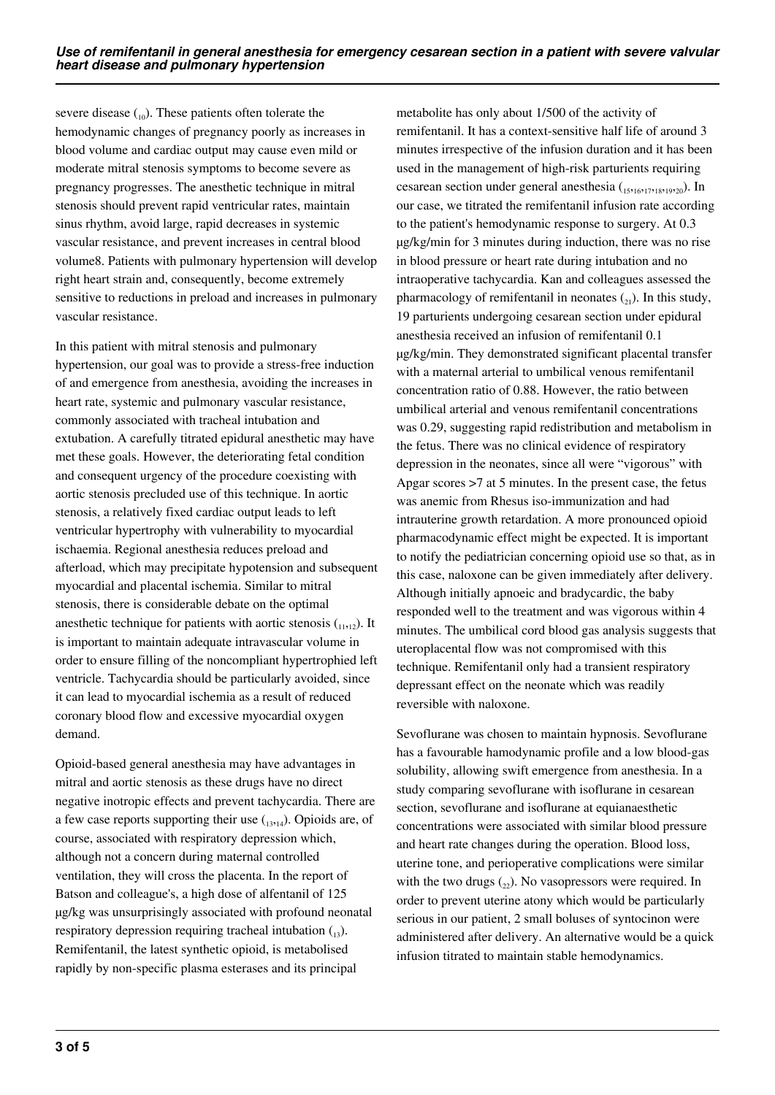severe disease  $_{(10)}$ . These patients often tolerate the hemodynamic changes of pregnancy poorly as increases in blood volume and cardiac output may cause even mild or moderate mitral stenosis symptoms to become severe as pregnancy progresses. The anesthetic technique in mitral stenosis should prevent rapid ventricular rates, maintain sinus rhythm, avoid large, rapid decreases in systemic vascular resistance, and prevent increases in central blood volume8. Patients with pulmonary hypertension will develop right heart strain and, consequently, become extremely sensitive to reductions in preload and increases in pulmonary vascular resistance.

In this patient with mitral stenosis and pulmonary hypertension, our goal was to provide a stress-free induction of and emergence from anesthesia, avoiding the increases in heart rate, systemic and pulmonary vascular resistance, commonly associated with tracheal intubation and extubation. A carefully titrated epidural anesthetic may have met these goals. However, the deteriorating fetal condition and consequent urgency of the procedure coexisting with aortic stenosis precluded use of this technique. In aortic stenosis, a relatively fixed cardiac output leads to left ventricular hypertrophy with vulnerability to myocardial ischaemia. Regional anesthesia reduces preload and afterload, which may precipitate hypotension and subsequent myocardial and placental ischemia. Similar to mitral stenosis, there is considerable debate on the optimal anesthetic technique for patients with aortic stenosis  $(1,1,1)$ . It is important to maintain adequate intravascular volume in order to ensure filling of the noncompliant hypertrophied left ventricle. Tachycardia should be particularly avoided, since it can lead to myocardial ischemia as a result of reduced coronary blood flow and excessive myocardial oxygen demand.

Opioid-based general anesthesia may have advantages in mitral and aortic stenosis as these drugs have no direct negative inotropic effects and prevent tachycardia. There are a few case reports supporting their use  $(13,14)$ . Opioids are, of course, associated with respiratory depression which, although not a concern during maternal controlled ventilation, they will cross the placenta. In the report of Batson and colleague's, a high dose of alfentanil of 125 µg/kg was unsurprisingly associated with profound neonatal respiratory depression requiring tracheal intubation  $\binom{13}{13}$ . Remifentanil, the latest synthetic opioid, is metabolised rapidly by non-specific plasma esterases and its principal

metabolite has only about 1/500 of the activity of remifentanil. It has a context-sensitive half life of around 3 minutes irrespective of the infusion duration and it has been used in the management of high-risk parturients requiring cesarean section under general anesthesia (15,16,17,18,19,20). In our case, we titrated the remifentanil infusion rate according to the patient's hemodynamic response to surgery. At 0.3 µg/kg/min for 3 minutes during induction, there was no rise in blood pressure or heart rate during intubation and no intraoperative tachycardia. Kan and colleagues assessed the pharmacology of remifentanil in neonates  $_{21}$ ). In this study, 19 parturients undergoing cesarean section under epidural anesthesia received an infusion of remifentanil 0.1 µg/kg/min. They demonstrated significant placental transfer with a maternal arterial to umbilical venous remifentanil concentration ratio of 0.88. However, the ratio between umbilical arterial and venous remifentanil concentrations was 0.29, suggesting rapid redistribution and metabolism in the fetus. There was no clinical evidence of respiratory depression in the neonates, since all were "vigorous" with Apgar scores >7 at 5 minutes. In the present case, the fetus was anemic from Rhesus iso-immunization and had intrauterine growth retardation. A more pronounced opioid pharmacodynamic effect might be expected. It is important to notify the pediatrician concerning opioid use so that, as in this case, naloxone can be given immediately after delivery. Although initially apnoeic and bradycardic, the baby responded well to the treatment and was vigorous within 4 minutes. The umbilical cord blood gas analysis suggests that uteroplacental flow was not compromised with this technique. Remifentanil only had a transient respiratory depressant effect on the neonate which was readily reversible with naloxone.

Sevoflurane was chosen to maintain hypnosis. Sevoflurane has a favourable hamodynamic profile and a low blood-gas solubility, allowing swift emergence from anesthesia. In a study comparing sevoflurane with isoflurane in cesarean section, sevoflurane and isoflurane at equianaesthetic concentrations were associated with similar blood pressure and heart rate changes during the operation. Blood loss, uterine tone, and perioperative complications were similar with the two drugs  $(_{22})$ . No vasopressors were required. In order to prevent uterine atony which would be particularly serious in our patient, 2 small boluses of syntocinon were administered after delivery. An alternative would be a quick infusion titrated to maintain stable hemodynamics.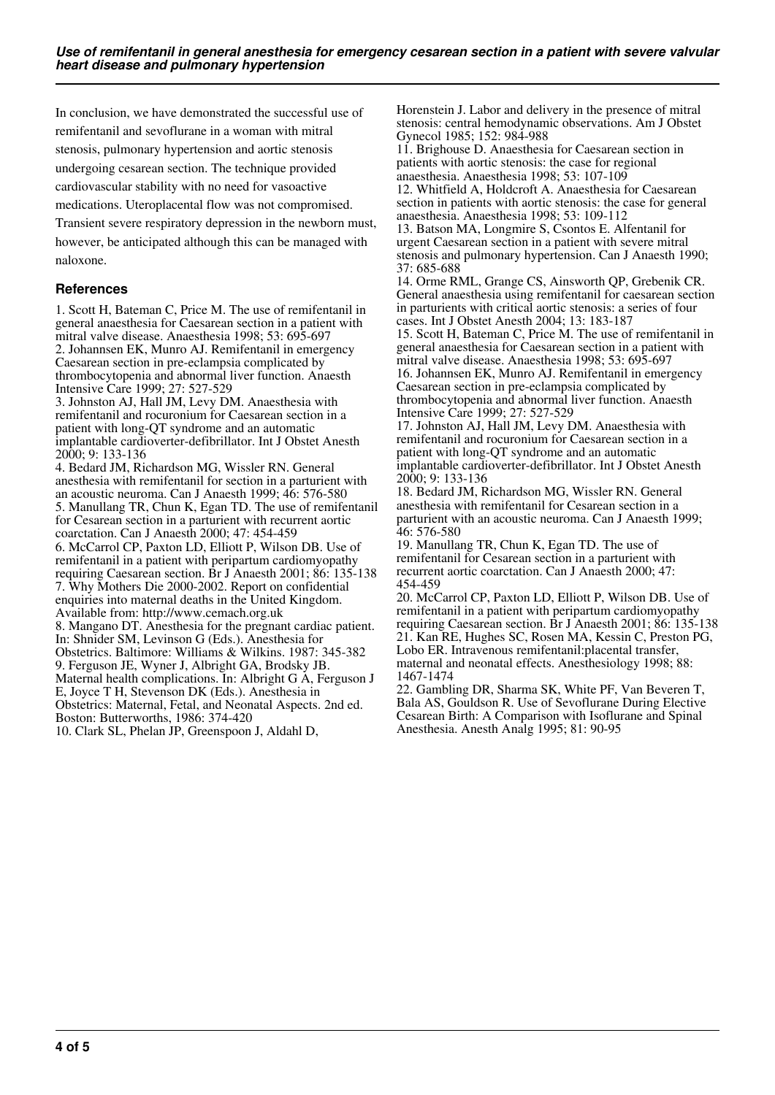In conclusion, we have demonstrated the successful use of remifentanil and sevoflurane in a woman with mitral stenosis, pulmonary hypertension and aortic stenosis undergoing cesarean section. The technique provided cardiovascular stability with no need for vasoactive medications. Uteroplacental flow was not compromised. Transient severe respiratory depression in the newborn must, however, be anticipated although this can be managed with naloxone.

#### **References**

1. Scott H, Bateman C, Price M. The use of remifentanil in general anaesthesia for Caesarean section in a patient with mitral valve disease. Anaesthesia 1998; 53: 695-697 2. Johannsen EK, Munro AJ. Remifentanil in emergency Caesarean section in pre-eclampsia complicated by thrombocytopenia and abnormal liver function. Anaesth Intensive Care 1999; 27: 527-529

3. Johnston AJ, Hall JM, Levy DM. Anaesthesia with remifentanil and rocuronium for Caesarean section in a patient with long-QT syndrome and an automatic implantable cardioverter-defibrillator. Int J Obstet Anesth 2000; 9: 133-136

4. Bedard JM, Richardson MG, Wissler RN. General anesthesia with remifentanil for section in a parturient with an acoustic neuroma. Can J Anaesth 1999; 46: 576-580 5. Manullang TR, Chun K, Egan TD. The use of remifentanil for Cesarean section in a parturient with recurrent aortic coarctation. Can J Anaesth 2000; 47: 454-459 6. McCarrol CP, Paxton LD, Elliott P, Wilson DB. Use of remifentanil in a patient with peripartum cardiomyopathy requiring Caesarean section. Br J Anaesth 2001; 86: 135-138 7. Why Mothers Die 2000-2002. Report on confidential enquiries into maternal deaths in the United Kingdom. Available from: http://www.cemach.org.uk 8. Mangano DT. Anesthesia for the pregnant cardiac patient. In: Shnider SM, Levinson G (Eds.). Anesthesia for Obstetrics. Baltimore: Williams & Wilkins. 1987: 345-382 9. Ferguson JE, Wyner J, Albright GA, Brodsky JB. Maternal health complications. In: Albright G A, Ferguson J E, Joyce T H, Stevenson DK (Eds.). Anesthesia in Obstetrics: Maternal, Fetal, and Neonatal Aspects. 2nd ed. Boston: Butterworths, 1986: 374-420 10. Clark SL, Phelan JP, Greenspoon J, Aldahl D,

Horenstein J. Labor and delivery in the presence of mitral stenosis: central hemodynamic observations. Am J Obstet Gynecol 1985; 152: 984-988

11. Brighouse D. Anaesthesia for Caesarean section in patients with aortic stenosis: the case for regional anaesthesia. Anaesthesia 1998; 53: 107-109 12. Whitfield A, Holdcroft A. Anaesthesia for Caesarean

section in patients with aortic stenosis: the case for general anaesthesia. Anaesthesia 1998; 53: 109-112

13. Batson MA, Longmire S, Csontos E. Alfentanil for urgent Caesarean section in a patient with severe mitral stenosis and pulmonary hypertension. Can J Anaesth 1990; 37: 685-688

14. Orme RML, Grange CS, Ainsworth QP, Grebenik CR. General anaesthesia using remifentanil for caesarean section in parturients with critical aortic stenosis: a series of four cases. Int J Obstet Anesth 2004; 13: 183-187 15. Scott H, Bateman C, Price M. The use of remifentanil in general anaesthesia for Caesarean section in a patient with mitral valve disease. Anaesthesia 1998; 53: 695-697 16. Johannsen EK, Munro AJ. Remifentanil in emergency Caesarean section in pre-eclampsia complicated by

thrombocytopenia and abnormal liver function. Anaesth Intensive Care 1999; 27: 527-529

17. Johnston AJ, Hall JM, Levy DM. Anaesthesia with remifentanil and rocuronium for Caesarean section in a patient with long-QT syndrome and an automatic implantable cardioverter-defibrillator. Int J Obstet Anesth 2000; 9: 133-136

18. Bedard JM, Richardson MG, Wissler RN. General anesthesia with remifentanil for Cesarean section in a parturient with an acoustic neuroma. Can J Anaesth 1999; 46: 576-580

19. Manullang TR, Chun K, Egan TD. The use of remifentanil for Cesarean section in a parturient with recurrent aortic coarctation. Can J Anaesth 2000; 47: 454-459

20. McCarrol CP, Paxton LD, Elliott P, Wilson DB. Use of remifentanil in a patient with peripartum cardiomyopathy requiring Caesarean section. Br J Anaesth 2001; 86: 135-138 21. Kan RE, Hughes SC, Rosen MA, Kessin C, Preston PG, Lobo ER. Intravenous remifentanil:placental transfer, maternal and neonatal effects. Anesthesiology 1998; 88: 1467-1474

22. Gambling DR, Sharma SK, White PF, Van Beveren T, Bala AS, Gouldson R. Use of Sevoflurane During Elective Cesarean Birth: A Comparison with Isoflurane and Spinal Anesthesia. Anesth Analg 1995; 81: 90-95